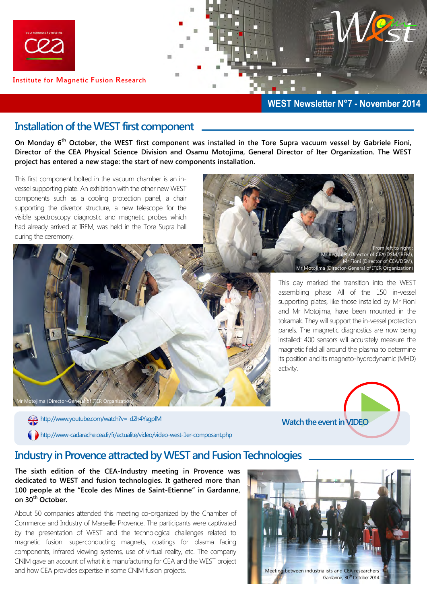

**Institute for Magnetic Fusion Research** 

#### **WEST Newsletter N°7 - November 2014**

#### **Installation of the WEST first component**

**On Monday 6th October, the WEST first component was installed in the Tore Supra vacuum vessel by Gabriele Fioni, Director of the CEA Physical Science Division and Osamu Motojima, General Director of Iter Organization. The WEST project has entered a new stage: the start of new components installation.** 

This first component bolted in the vacuum chamber is an invessel supporting plate. An exhibition with the other new WEST components such as a cooling protection panel, a chair supporting the divertor structure, a new telescope for the visible spectroscopy diagnostic and magnetic probes which had already arrived at IRFM, was held in the Tore Supra hall during the ceremony.



From left to right : (Director of CEA/DSM/IRFM) Mr Fioni (Director of CEA/DSM) Mr Motojima (Director-General of ITER Organization)

This day marked the transition into the WEST assembling phase All of the 150 in-vessel supporting plates, like those installed by Mr Fioni and Mr Motojima, have been mounted in the tokamak. They will support the in-vessel protection panels. The magnetic diagnostics are now being installed: 400 sensors will accurately measure the magnetic field all around the plasma to determine its position and its magneto-hydrodynamic (MHD) activity.



# **Industry in Provence attracted by WEST and Fusion Technologies**

**The sixth edition of the CEA-Industry meeting in Provence was dedicated to WEST and fusion technologies. It gathered more than 100 people at the "Ecole des Mines de Saint-Etienne" in Gardanne, on 30th October.** 

http://www-cadarache.cea.fr/fr/actualite/video/video-west-1er-composant.php

About 50 companies attended this meeting co-organized by the Chamber of Commerce and Industry of Marseille Provence. The participants were captivated by the presentation of WEST and the technological challenges related to magnetic fusion: superconducting magnets, coatings for plasma facing components, infrared viewing systems, use of virtual reality, etc. The company CNIM gave an account of what it is manufacturing for CEA and the WEST project and how CEA provides expertise in some CNIM fusion projects. Meeting between industrialists and CEA researchers